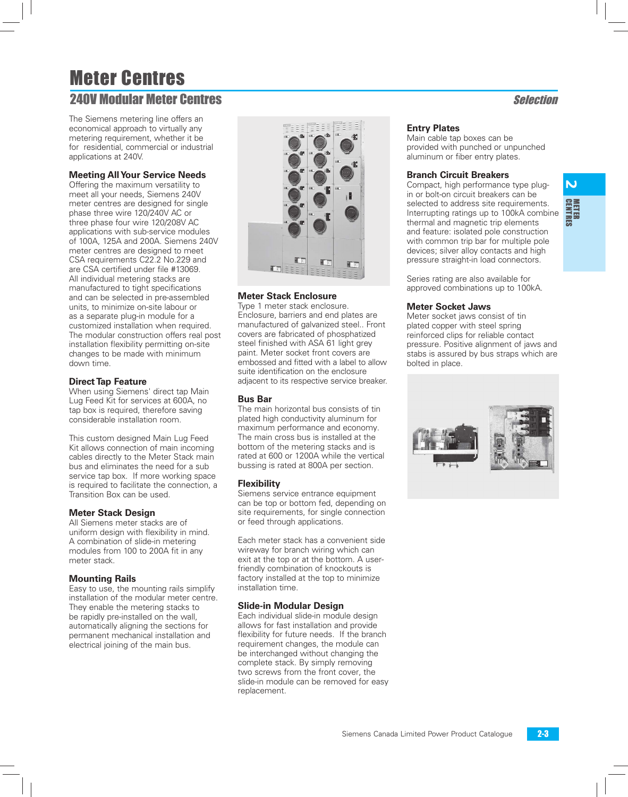# Meter Centres **240V Modular Meter Centres Selection**

The Siemens metering line offers an economical approach to virtually any metering requirement, whether it be for residential, commercial or industrial applications at 240V.

### **Meeting All Your Service Needs**

Offering the maximum versatility to meet all your needs, Siemens 240V meter centres are designed for single phase three wire 120/240V AC or three phase four wire 120/208V AC applications with sub-service modules of 100A, 125A and 200A. Siemens 240V meter centres are designed to meet CSA requirements C22.2 No.229 and are CSA certified under file #13069. All individual metering stacks are manufactured to tight specifications and can be selected in pre-assembled units, to minimize on-site labour or as a separate plug-in module for a customized installation when required. The modular construction offers real post installation flexibility permitting on-site changes to be made with minimum down time.

#### **Direct Tap Feature**

When using Siemens' direct tap Main Lug Feed Kit for services at 600A, no tap box is required, therefore saving considerable installation room.

This custom designed Main Lug Feed Kit allows connection of main incoming cables directly to the Meter Stack main bus and eliminates the need for a sub service tap box. If more working space is required to facilitate the connection, a Transition Box can be used.

#### **Meter Stack Design**

All Siemens meter stacks are of uniform design with flexibility in mind. A combination of slide-in metering modules from 100 to 200A fit in any meter stack.

#### **Mounting Rails**

Easy to use, the mounting rails simplify installation of the modular meter centre. They enable the metering stacks to be rapidly pre-installed on the wall, automatically aligning the sections for permanent mechanical installation and electrical joining of the main bus.



### **Meter Stack Enclosure**

Type 1 meter stack enclosure. Enclosure, barriers and end plates are manufactured of galvanized steel.. Front covers are fabricated of phosphatized steel finished with ASA 61 light grey paint. Meter socket front covers are embossed and fitted with a label to allow suite identification on the enclosure adjacent to its respective service breaker.

#### **Bus Bar**

The main horizontal bus consists of tin plated high conductivity aluminum for maximum performance and economy. The main cross bus is installed at the bottom of the metering stacks and is rated at 600 or 1200A while the vertical bussing is rated at 800A per section.

#### **Flexibility**

Siemens service entrance equipment can be top or bottom fed, depending on site requirements, for single connection or feed through applications.

Each meter stack has a convenient side wireway for branch wiring which can exit at the top or at the bottom. A userfriendly combination of knockouts is factory installed at the top to minimize installation time.

#### **Slide-in Modular Design**

Each individual slide-in module design allows for fast installation and provide flexibility for future needs. If the branch requirement changes, the module can be interchanged without changing the complete stack. By simply removing two screws from the front cover, the slide-in module can be removed for easy replacement.

#### **Entry Plates**

Main cable tap boxes can be provided with punched or unpunched aluminum or fiber entry plates.

#### **Branch Circuit Breakers**

Compact, high performance type plugin or bolt-on circuit breakers can be selected to address site requirements. Interrupting ratings up to 100kA combine thermal and magnetic trip elements and feature: isolated pole construction with common trip bar for multiple pole devices; silver alloy contacts and high pressure straight-in load connectors.

Series rating are also available for approved combinations up to 100kA.

#### **Meter Socket Jaws**

Meter socket jaws consist of tin plated copper with steel spring reinforced clips for reliable contact pressure. Positive alignment of jaws and stabs is assured by bus straps which are bolted in place.

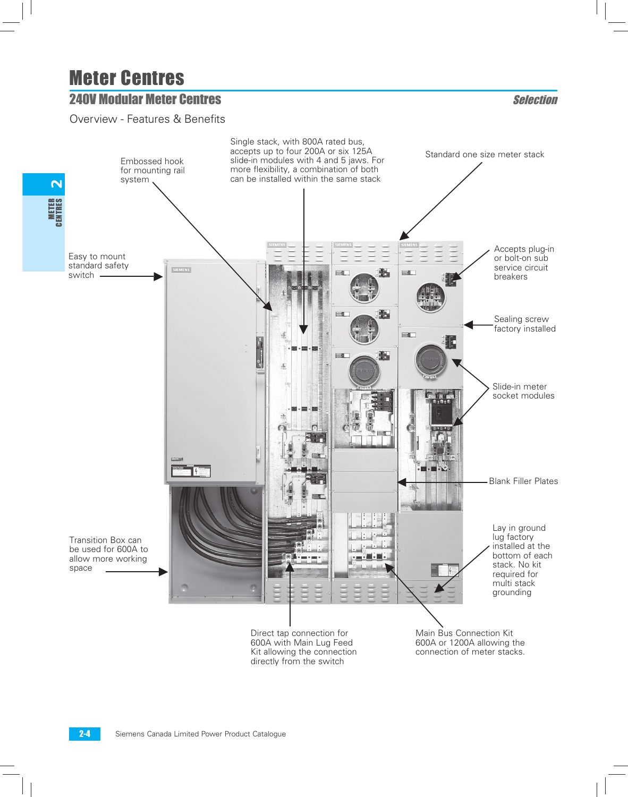## **240V Modular Meter Centres Selection**

Overview - Features & Benefits

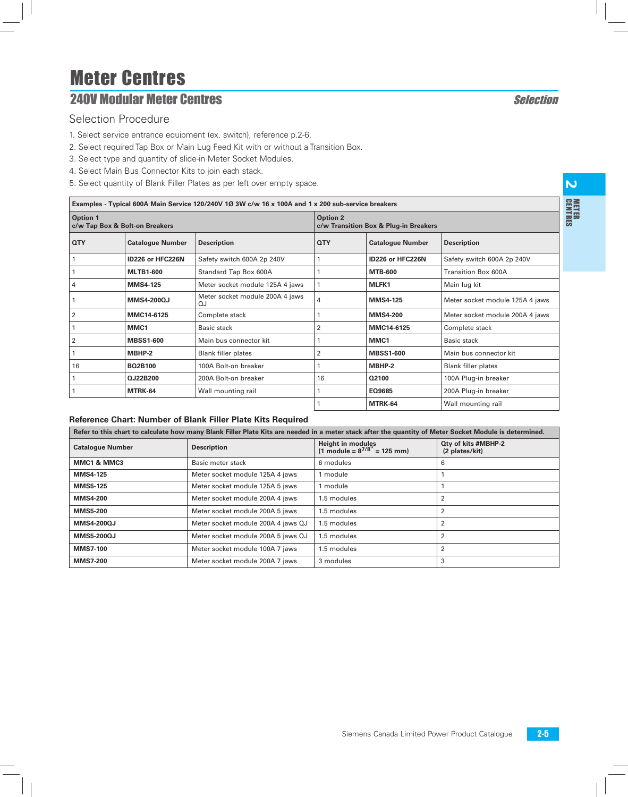# **240V Modular Meter Centres Selection**

### Selection Procedure

Г

- 1. Select service entrance equipment (ex. switch), reference p.2-6.
- 2. Select required Tap Box or Main Lug Feed Kit with or without a Transition Box.
- 3. Select type and quantity of slide-in Meter Socket Modules.
- 4. Select Main Bus Connector Kits to join each stack.
- 5. Select quantity of Blank Filler Plates as per left over empty space.

|                                            | Examples - Typical 600A Main Service 120/240V 1Ø 3W c/w 16 x 100A and 1 x 200 sub-service breakers |                                       |                                                          |                         |                                 |  |  |  |  |  |  |
|--------------------------------------------|----------------------------------------------------------------------------------------------------|---------------------------------------|----------------------------------------------------------|-------------------------|---------------------------------|--|--|--|--|--|--|
| Option 1<br>c/w Tap Box & Bolt-on Breakers |                                                                                                    |                                       | <b>Option 2</b><br>c/w Transition Box & Plug-in Breakers |                         |                                 |  |  |  |  |  |  |
| <b>QTY</b>                                 | <b>Catalogue Number</b>                                                                            | <b>Description</b>                    | <b>QTY</b>                                               | <b>Catalogue Number</b> | <b>Description</b>              |  |  |  |  |  |  |
|                                            | ID226 or HFC226N                                                                                   | Safety switch 600A 2p 240V            |                                                          | ID226 or HFC226N        | Safety switch 600A 2p 240V      |  |  |  |  |  |  |
|                                            | <b>MLTB1-600</b>                                                                                   | Standard Tap Box 600A                 |                                                          | <b>MTB-600</b>          | Transition Box 600A             |  |  |  |  |  |  |
| $\overline{4}$                             | <b>MMS4-125</b>                                                                                    | Meter socket module 125A 4 jaws       |                                                          | MLFK1                   | Main lug kit                    |  |  |  |  |  |  |
|                                            | <b>MMS4-200QJ</b>                                                                                  | Meter socket module 200A 4 jaws<br>OJ | 4                                                        | <b>MMS4-125</b>         | Meter socket module 125A 4 jaws |  |  |  |  |  |  |
| $\overline{2}$                             | MMC14-6125                                                                                         | Complete stack                        |                                                          | <b>MMS4-200</b>         | Meter socket module 200A 4 jaws |  |  |  |  |  |  |
|                                            | MMC1                                                                                               | Basic stack                           | 2                                                        | MMC14-6125              | Complete stack                  |  |  |  |  |  |  |
| $\overline{2}$                             | <b>MBSS1-600</b>                                                                                   | Main bus connector kit                |                                                          | MMC1                    | <b>Basic stack</b>              |  |  |  |  |  |  |
|                                            | MBHP-2                                                                                             | <b>Blank filler plates</b>            | 2                                                        | <b>MBSS1-600</b>        | Main bus connector kit          |  |  |  |  |  |  |
| 16                                         | <b>BO2B100</b>                                                                                     | 100A Bolt-on breaker                  |                                                          | MBHP-2                  | <b>Blank filler plates</b>      |  |  |  |  |  |  |
|                                            | QJ22B200                                                                                           | 200A Bolt-on breaker                  | 16                                                       | Q2100                   | 100A Plug-in breaker            |  |  |  |  |  |  |
|                                            | MTRK-64                                                                                            | Wall mounting rail                    |                                                          | EQ9685                  | 200A Plug-in breaker            |  |  |  |  |  |  |
|                                            |                                                                                                    |                                       |                                                          | MTRK-64                 | Wall mounting rail              |  |  |  |  |  |  |

#### **Reference Chart: Number of Blank Filler Plate Kits Required**

| Refer to this chart to calculate how many Blank Filler Plate Kits are needed in a meter stack after the quantity of Meter Socket Module is determined. |                                    |                                                                             |                                              |  |  |  |  |  |  |
|--------------------------------------------------------------------------------------------------------------------------------------------------------|------------------------------------|-----------------------------------------------------------------------------|----------------------------------------------|--|--|--|--|--|--|
| <b>Catalogue Number</b>                                                                                                                                | <b>Description</b>                 | <b>Height in modules</b><br>$(1 \text{ module} = 8^{7/8} = 125 \text{ mm})$ | <b>Qty of kits #MBHP-2</b><br>(2 plates/kit) |  |  |  |  |  |  |
| MMC1 & MMC3                                                                                                                                            | Basic meter stack                  | 6 modules                                                                   | 6                                            |  |  |  |  |  |  |
| <b>MMS4-125</b>                                                                                                                                        | Meter socket module 125A 4 jaws    | 1 module                                                                    |                                              |  |  |  |  |  |  |
| <b>MMS5-125</b>                                                                                                                                        | Meter socket module 125A 5 jaws    | 1 module                                                                    |                                              |  |  |  |  |  |  |
| <b>MMS4-200</b>                                                                                                                                        | Meter socket module 200A 4 jaws    | 1.5 modules                                                                 |                                              |  |  |  |  |  |  |
| <b>MMS5-200</b>                                                                                                                                        | Meter socket module 200A 5 jaws    | 1.5 modules                                                                 |                                              |  |  |  |  |  |  |
| <b>MMS4-200QJ</b>                                                                                                                                      | Meter socket module 200A 4 jaws QJ | 1.5 modules                                                                 | 2                                            |  |  |  |  |  |  |
| <b>MMS5-200QJ</b>                                                                                                                                      | Meter socket module 200A 5 jaws QJ | 1.5 modules                                                                 |                                              |  |  |  |  |  |  |
| <b>MMS7-100</b>                                                                                                                                        | Meter socket module 100A 7 jaws    | 1.5 modules                                                                 | 2                                            |  |  |  |  |  |  |
| <b>MMS7-200</b>                                                                                                                                        | Meter socket module 200A 7 jaws    | 3 modules                                                                   | 3                                            |  |  |  |  |  |  |

 $\overline{\mathsf{M}}$ 

CENT METERRES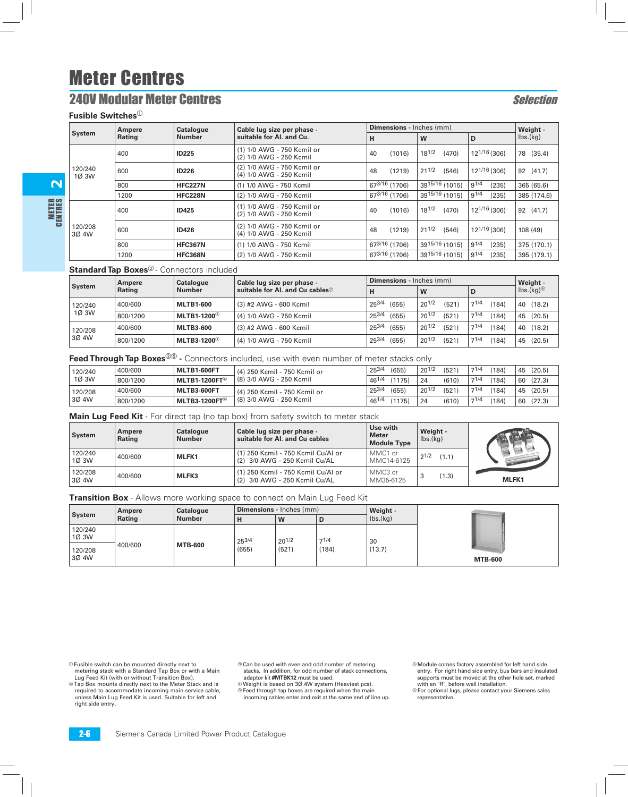## **240V Modular Meter Centres Selection**

**Fusible Switches**<sup>1</sup>

2

METER<br>Centres

| Ampere           |        | <b>Catalogue</b> | Cable lug size per phase -                            | <b>Dimensions - Inches (mm)</b> | Weight -            |                          |                              |
|------------------|--------|------------------|-------------------------------------------------------|---------------------------------|---------------------|--------------------------|------------------------------|
| <b>System</b>    | Rating | <b>Number</b>    | suitable for Al. and Cu.                              | н                               | W                   | D                        | $\mathsf{lbs.}(\mathsf{kg})$ |
| 120/240<br>1Ø 3W | 400    | <b>ID225</b>     | (1) 1/0 AWG - 750 Kcmil or<br>(2) 1/0 AWG - 250 Kcmil | (1016)<br>40                    | $18^{1/2}$<br>(470) | $12^{1/16}$ (306)        | 78<br>(35.4)                 |
|                  | 600    | <b>ID226</b>     | (2) 1/0 AWG - 750 Kcmil or<br>(4) 1/0 AWG - 250 Kcmil | (1219)<br>48                    | $21^{1/2}$<br>(546) | $12^{1/16}$ (306)        | 92 (41.7)                    |
|                  | 800    | <b>HFC227N</b>   | (1) 1/0 AWG - 750 Kcmil                               | 673/16 (1706)                   | 3915/16 (1015)      | $9^{1/4}$<br>(235)       | 365 (65.6)                   |
|                  | 1200   | <b>HFC228N</b>   | (2) 1/0 AWG - 750 Kcmil                               | 673/16 (1706)                   | 3915/16 (1015)      | $9^{1/4}$<br>(235)       | 385 (174.6)                  |
|                  | 400    | <b>ID425</b>     | (1) 1/0 AWG - 750 Kcmil or<br>(2) 1/0 AWG - 250 Kcmil | (1016)<br>40                    | $18^{1/2}$<br>(470) | $12^{1/16}$ (306)        | 92 (41.7)                    |
| 120/208<br>3Ø 4W | 600    | <b>ID426</b>     | (2) 1/0 AWG - 750 Kcmil or<br>(4) 1/0 AWG - 250 Kcmil | (1219)<br>48                    | $21^{1/2}$<br>(546) | 12 <sup>1/16</sup> (306) | 108 (49)                     |
|                  | 800    | <b>HFC367N</b>   | (1) 1/0 AWG - 750 Kcmil                               | 673/16 (1706)                   | 3915/16 (1015)      | $9^{1/4}$<br>(235)       | 375 (170.1)                  |
|                  | 1200   | <b>HFC368N</b>   | (2) 1/0 AWG - 750 Kcmil                               | 673/16 (1706)                   | 3915/16 (1015)      | $9^{1/4}$<br>(235)       | 395 (179.1)                  |

#### **Standard Tap Boxes**<sup>2</sup> - Connectors included

|         | Ampere   | Catalogue               | Cable lug size per phase -               | <b>Dimensions</b> - Inches (mm) | Weight -            |              |                                           |  |
|---------|----------|-------------------------|------------------------------------------|---------------------------------|---------------------|--------------|-------------------------------------------|--|
| System  | Rating   | <b>Number</b>           | suitable for Al. and Cu cables $\oslash$ | н                               | W                   |              | $\mathsf{Ibs}.(\mathsf{kg})^\circledcirc$ |  |
| 120/240 | 400/600  | <b>MLTB1-600</b>        | (3) #2 AWG - 600 Kcmil                   | $25^{3/4}$<br>(655)             | $20^{1/2}$<br>(521) | 71/4<br>184) | (18.2)<br>40                              |  |
| 1Ø 3W   | 800/1200 | MLTB1-1200 <sup>3</sup> | (4) 1/0 AWG - 750 Kcmil                  | $25^{3/4}$<br>(655)             | $20^{1/2}$<br>(521) | 71/4<br>184) | (20.5)<br>45                              |  |
| 120/208 | 400/600  | <b>MLTB3-600</b>        | (3) #2 AWG - 600 Kcmil                   | $25^{3/4}$<br>(655)             | $20^{1/2}$<br>(521) | 71/4<br>184) | (18.2)<br>40                              |  |
| 30 4W   | 800/1200 | MLTB3-1200 <sup>3</sup> | (4) 1/0 AWG - 750 Kcmil                  | 253/4<br>(655)                  | $20^{1/2}$<br>(521) | 71/4<br>184) | (20.5)<br>45                              |  |

**Feed Through Tap Boxes**<sup>20</sup> - Connectors included, use with even number of meter stacks only

| 120/240          | 400/600  | MLTB1-600FT         | $25^{3/2}$<br>(4) 250 Kcmil - 750 Kcmil or |       | (655)  | $20^{1/2}$ | (521) | 71/4 | '184) | 45 | (20.5) |
|------------------|----------|---------------------|--------------------------------------------|-------|--------|------------|-------|------|-------|----|--------|
| 1Ø 3W            | 800/1200 | $MLTB1-1200FT$      | 1 (8) 3/0 AWG - 250 Kcmil                  | 461/4 | (1175) | 24         | (610) | 71/4 | '184) | 60 | (27.3) |
| 120/208<br>3Ø 4W | 400/600  | MLTB3-600FT         | (4) 250 Kcmil - 750 Kcmil or               | 253/4 | (655)  | $20^{1/2}$ | (521) | 71/4 | (184) | 45 | (20.5) |
|                  | 800/1200 | <b>MLTB3-1200FT</b> | (8) 3/0 AWG - 250 Kcmil                    | 461/4 | (1175) | 24         | (610) | 71/4 | (184) | 60 | (27.3) |

**Main Lug Feed Kit** - For direct tap (no tap box) from safety switch to meter stack

| System             | Ampere<br>Rating | <b>Catalogue</b><br><b>Number</b> | Cable lug size per phase -<br>suitable for AI, and Cu cables        | Use with<br><b>Meter</b><br><b>Module Type</b> | Weight -<br>$\mathsf{Ibs}.(\mathsf{kq})$ |       |
|--------------------|------------------|-----------------------------------|---------------------------------------------------------------------|------------------------------------------------|------------------------------------------|-------|
| 120/240<br>1Ø 3W   | 400/600          | <b>MLFK1</b>                      | (1) 250 Kcmil - 750 Kcmil Cu/Al or<br>(2) 3/0 AWG - 250 Kcmil Cu/AL | MMC1 or<br>MMC14-6125                          | $2^{1/2}$<br>(1.1)                       |       |
| 120/208<br>  3Ø 4W | 400/600          | <b>MLFK3</b>                      | (1) 250 Kcmil - 750 Kcmil Cu/Al or<br>(2) 3/0 AWG - 250 Kcmil Cu/AL | MMC3 or<br>MM35-6125                           | (1.3)                                    | MLFK1 |

**Transition Box** - Allows more working space to connect on Main Lug Feed Kit

| System           | Ampere<br>Rating | Catalogue<br><b>Number</b> | <b>Dimensions</b> - Inches (mm) |                     |               | Weight -                    |                |  |  |
|------------------|------------------|----------------------------|---------------------------------|---------------------|---------------|-----------------------------|----------------|--|--|
|                  |                  |                            |                                 | W                   | IJ            | $\mathsf{Ibs}(\mathsf{kq})$ |                |  |  |
| 120/240<br>1Ø 3W | 400/600          |                            | $25^{3/4}$<br>(655)             | $20^{1/2}$<br>(521) | 71/4<br>(184) | 30<br>(13.7)                |                |  |  |
| 120/208<br>3Ø 4W |                  | <b>MTB-600</b>             |                                 |                     |               |                             | <b>MTB-600</b> |  |  |

a Fusible switch can be mounted directly next to metering stack with a Standard Tap Box or with a Main Lug Feed Kit (with or without Transition Box).

**Tap Box mounts directly next to the Meter Stack and is** required to accommodate incoming main service cable, unless Main Lug Feed Kit is used. Suitable for left and right side entry.

© Can be used with even and odd number of metering stacks. In addition, for odd number of stack connections, adaptor kit **#MTBK12** must be used.

d Weight is based on 3Ø 4W system (Heaviest pcs).  $© Feed through tap boxes are required when the main$ incoming cables enter and exit at the same end of line up.  $@$  Module comes factory assembled for left hand side entry. For right hand side entry, bus bars and insulated supports must be moved at the other hole set, marked with an "R", before wall installation.

 $\circ$  For optional lugs, please contact your Siemens sales representative.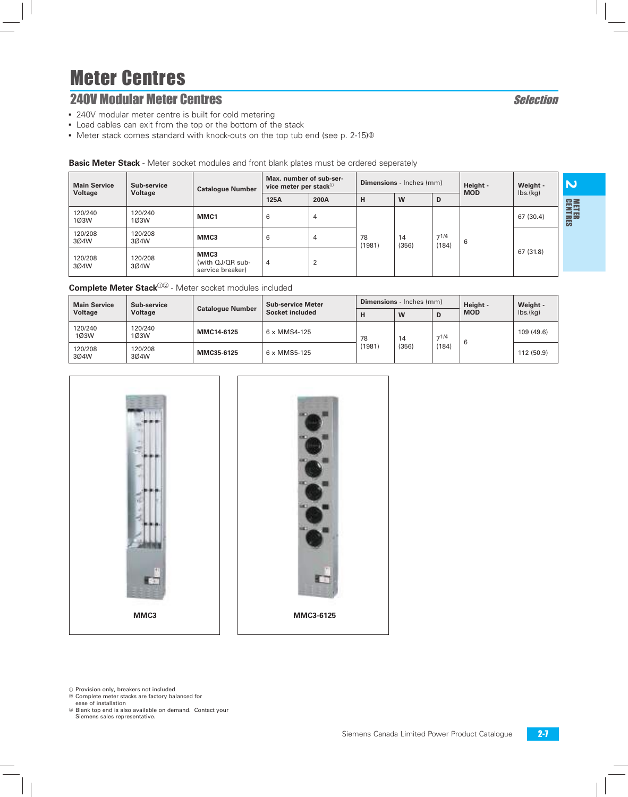# **240V Modular Meter Centres Selection**

- 240V modular meter centre is built for cold metering
- **-** Load cables can exit from the top or the bottom of the stack
- $\bullet$  Meter stack comes standard with knock-outs on the top tub end (see p. 2-15)<sup>®</sup>

| <b>Dasie motor Otaen</b> - motor source modules and none blank plates music be crucified seperatory |                 |                                              |                                                             |                |                                 |             |                    |            |                                          |                             |
|-----------------------------------------------------------------------------------------------------|-----------------|----------------------------------------------|-------------------------------------------------------------|----------------|---------------------------------|-------------|--------------------|------------|------------------------------------------|-----------------------------|
| <b>Main Service</b><br>Sub-service                                                                  |                 | <b>Catalogue Number</b>                      | Max. number of sub-ser-<br>vice meter per stack $\mathbb O$ |                | <b>Dimensions</b> - Inches (mm) |             |                    | Height -   | Weight -<br>$\mathsf{lbs.}(\mathsf{kg})$ | 'N                          |
| Voltage                                                                                             | Voltage         |                                              | 125A                                                        | 200A           | н                               | W           | D                  | <b>MOD</b> |                                          |                             |
| 120/240<br>1Ø3W                                                                                     | 120/240<br>1Ø3W | MMC1                                         | 6                                                           | 4              |                                 |             |                    |            | 67 (30.4)                                | <b>METER</b><br>CENTRI<br>离 |
| 120/208<br>3Ø4W                                                                                     | 120/208<br>3Ø4W | MMC3                                         | 6                                                           | 4              | 78<br>(1981)                    | 14<br>(356) | $7^{1/4}$<br>(184) | 6          |                                          |                             |
| 120/208<br>3Ø4W                                                                                     | 120/208<br>3Ø4W | MMC3<br>(with QJ/QR sub-<br>service breaker) | 4                                                           | $\overline{2}$ |                                 |             |                    |            | 67 (31.8)                                |                             |

### **Basic Meter Stack** - Meter socket modules and front blank plates must be ordered seperately

| <b>Main Service</b> | Sub-service                 | <b>Catalogue Number</b> | <b>Sub-service Meter</b> |        | <b>Dimensions</b> - Inches (mm) |               | Height -   | Weight -                     |
|---------------------|-----------------------------|-------------------------|--------------------------|--------|---------------------------------|---------------|------------|------------------------------|
| Voltage             | Voltage                     |                         | Socket included          | н      | W                               | D             | <b>MOD</b> | $\mathsf{Ibs}.(\mathsf{kq})$ |
| 120/240<br>1Ø3W     | 120/240<br>10 <sub>3W</sub> | MMC14-6125              | 6 x MMS4-125             | 78     | 14                              | 71/4<br>(184) | -6         | 109 (49.6)                   |
| 120/208<br>304W     | 120/208<br>3Ø4W             | MMC35-6125              | 6 x MMS5-125             | (1981) | (356)                           |               |            | 112 (50.9)                   |





 $<sup>①</sup>$  Provision only, breakers not included</sup>

- <sup>2</sup> Complete meter stacks are factory balanced for
- ease of installation c Blank top end is also available on demand. Contact your Siemens sales representative.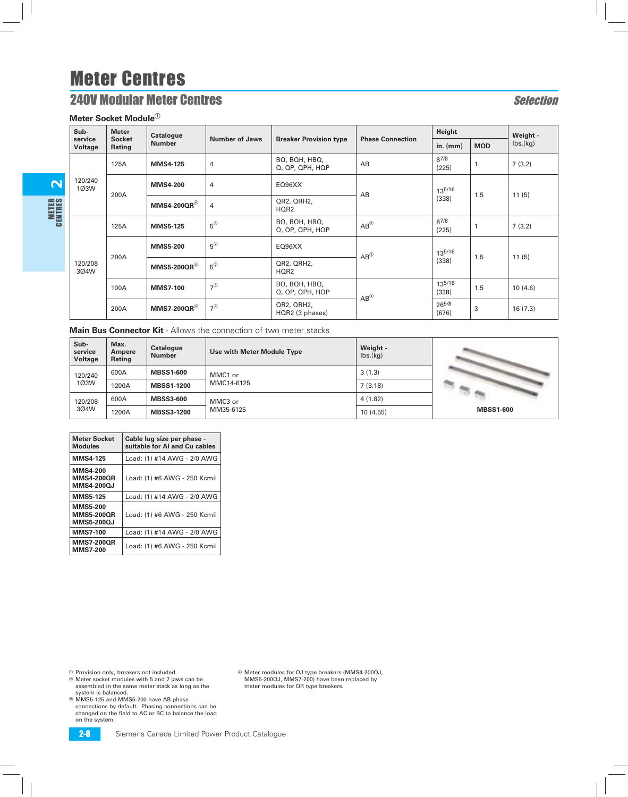# **240V Modular Meter Centres** Selection

#### **Meter Socket Module**<sup>10</sup>

 $\boldsymbol{\mathsf{N}}$ 

METER<br>Centres

| Sub-                      | <b>Meter</b>            | <b>Catalogue</b>       |                 |                                             |                         | Height             |            | Weight -                     |  |
|---------------------------|-------------------------|------------------------|-----------------|---------------------------------------------|-------------------------|--------------------|------------|------------------------------|--|
| service<br><b>Voltage</b> | <b>Socket</b><br>Rating | <b>Number</b>          | Number of Jaws  | <b>Breaker Provision type</b>               | <b>Phase Connection</b> | in. $(mm)$         | <b>MOD</b> | $\mathsf{lbs.}(\mathsf{kg})$ |  |
|                           | 125A                    | <b>MMS4-125</b>        | 4               | BQ, BQH, HBQ,<br>$Q$ , $QP$ , $QPH$ , $HQP$ | AB                      | $8^{7/8}$<br>(225) |            | 7(3.2)                       |  |
| 120/240<br>1Ø3W           | 200A                    | <b>MMS4-200</b>        | 4               | EQ96XX                                      | AB                      | 135/16             | 1.5        | 11(5)                        |  |
|                           |                         | $MMS4-200QR^@$         | 4               | QR2, QRH2,<br>HQR2                          |                         | (338)              |            |                              |  |
|                           | 125A                    | <b>MMS5-125</b>        | $5^{\circ}$     | BQ, BQH, HBQ,<br>$Q$ , $QP$ , $QPH$ , $HQP$ | $AB^{\circledR}$        | $8^{7/8}$<br>(225) |            | 7(3.2)                       |  |
|                           |                         | <b>MMS5-200</b>        | $5^{\circledR}$ | EQ96XX                                      | $AB^{\circledS}$        | 135/16             | 1.5        | 11(5)                        |  |
| 120/208<br>3Ø4W           |                         | 200A<br>$MMS5-200QR^@$ | $5^{\circledR}$ | QR2, QRH2,<br>HQR2                          |                         | (338)              |            |                              |  |
|                           | 100A                    | <b>MMS7-100</b>        | $7^{\circledR}$ | BQ, BQH, HBQ,<br>Q, QP, QPH, HQP            | $AB^{\circledS}$        | 135/16<br>(338)    | 1.5        | 10(4.6)                      |  |
|                           | 200A                    | $MMS7-200QR^@$         | $7^{\circledR}$ | QR2, QRH2,<br>HQR2 (3 phases)               |                         | 265/8<br>(676)     | 3          | 16(7.3)                      |  |

**Main Bus Connector Kit** - Allows the connection of two meter stacks

| Sub-<br>service<br><b>Voltage</b> | Max.<br>Ampere<br>Rating | Catalogue<br><b>Number</b> | Use with Meter Module Type | Weight -<br>$\mathsf{Ibs}(\mathsf{kg})$ |                  |
|-----------------------------------|--------------------------|----------------------------|----------------------------|-----------------------------------------|------------------|
| 120/240                           | 600A                     | <b>MBSS1-600</b>           | MMC1 or                    | 3(1.3)                                  |                  |
| 1Ø3W                              | 1200A                    | <b>MBSS1-1200</b>          | MMC14-6125                 | 7(3.18)                                 |                  |
| 120/208                           | 600A                     | <b>MBSS3-600</b>           | MMC3 or                    | 4(1.82)                                 |                  |
| 304W                              | 1200A                    | <b>MBSS3-1200</b>          | MM35-6125                  | 10(4.55)                                | <b>MBSS1-600</b> |

| <b>Meter Socket</b><br><b>Modules</b>                     | Cable lug size per phase -<br>suitable for AI and Cu cables |
|-----------------------------------------------------------|-------------------------------------------------------------|
| <b>MMS4-125</b>                                           | Load: (1) #14 AWG - 2/0 AWG                                 |
| <b>MMS4-200</b><br><b>MMS4-200QR</b><br>MMS4-2000J        | Load: (1) #6 AWG - 250 Kcmil                                |
| <b>MMS5-125</b>                                           | Load: (1) #14 AWG - 2/0 AWG                                 |
| <b>MMS5-200</b><br><b>MMS5-200QR</b><br><b>MMS5-200QJ</b> | Load: (1) #6 AWG - 250 Kcmil                                |
| <b>MMS7-100</b>                                           | Load: (1) #14 AWG - 2/0 AWG                                 |
| <b>MMS7-200QR</b><br><b>MMS7-200</b>                      | Load: (1) #6 AWG - 250 Kcmil                                |

 $@$  Provision only, breakers not included

- b Meter socket modules with 5 and 7 jaws can be assembled in the same meter stack as long as the system is balanced.
- $@$  MMS5-125 and MMS5-200 have AB phase connections by default. Phasing connections can be changed on the field to AC or BC to balance the load on the system.

d Meter modules for QJ type breakers (MMS4-200QJ, MMS5-200QJ, MMS7-200) have been replaced by meter modules for QR type breakers.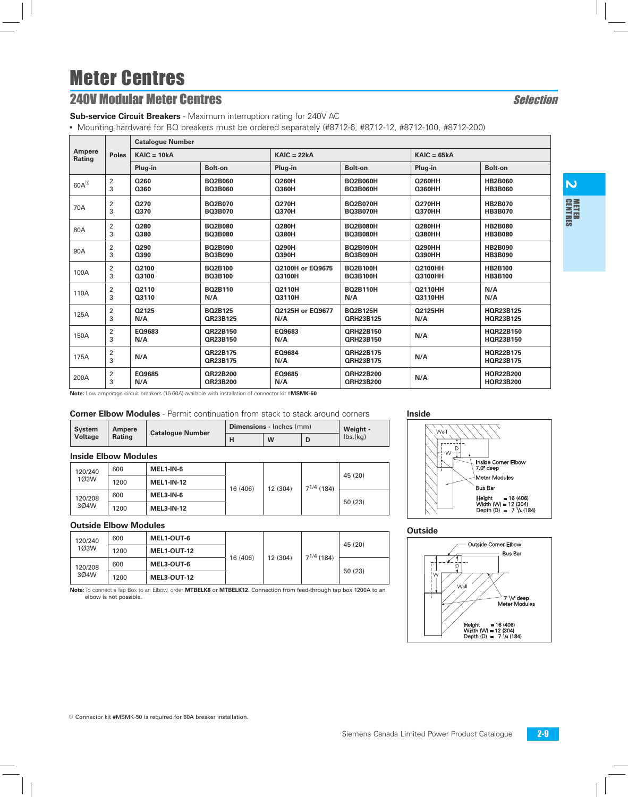# **240V Modular Meter Centres Selection**

**Sub-service Circuit Breakers** - Maximum interruption rating for 240V AC

• Mounting hardware for BQ breakers must be ordered separately (#8712-6, #8712-12, #8712-100, #8712-200)

|                      | <b>Poles</b>        | <b>Catalogue Number</b> |                      |                         |                                      |                |                                      |
|----------------------|---------------------|-------------------------|----------------------|-------------------------|--------------------------------------|----------------|--------------------------------------|
| Ampere<br>Rating     |                     | $KAIC = 10kA$           |                      | $KAIC = 22kA$           |                                      | $KAIC = 65kA$  |                                      |
|                      |                     | Plug-in                 | <b>Bolt-on</b>       | Plug-in                 | <b>Bolt-on</b>                       | Plug-in        | <b>Bolt-on</b>                       |
| $60A^{\circledcirc}$ | $\overline{2}$      | Q260                    | <b>BO2B060</b>       | <b>Q260H</b>            | <b>BO2B060H</b>                      | <b>Q260HH</b>  | <b>HB2B060</b>                       |
|                      | 3                   | Q360                    | <b>BQ3B060</b>       | Q360H                   | <b>BQ3B060H</b>                      | Q360HH         | <b>HB3B060</b>                       |
| 70A                  | $\overline{2}$      | Q270                    | <b>BO2B070</b>       | <b>Q270H</b>            | <b>BO2B070H</b>                      | <b>Q270HH</b>  | <b>HB2B070</b>                       |
|                      | 3                   | Q370                    | <b>BO3B070</b>       | <b>Q370H</b>            | <b>BQ3B070H</b>                      | <b>Q370HH</b>  | <b>HB3B070</b>                       |
| 80A                  | $\overline{2}$      | Q280                    | <b>BO2B080</b>       | <b>Q280H</b>            | <b>BO2B080H</b>                      | <b>Q280HH</b>  | <b>HB2B080</b>                       |
|                      | 3                   | Q380                    | <b>BQ3B080</b>       | Q380H                   | <b>BO3B080H</b>                      | <b>Q380HH</b>  | <b>HB3B080</b>                       |
| 90A                  | $\overline{2}$      | Q290                    | <b>BO2B090</b>       | Q290H                   | <b>BO2B090H</b>                      | <b>Q290HH</b>  | <b>HB2B090</b>                       |
|                      | 3                   | Q390                    | <b>BO3B090</b>       | Q390H                   | <b>BO3B090H</b>                      | <b>Q390HH</b>  | <b>HB3B090</b>                       |
| 100A                 | $\overline{2}$      | Q2100                   | <b>BO2B100</b>       | <b>Q2100H or EQ9675</b> | <b>BO2B100H</b>                      | <b>Q2100HH</b> | <b>HB2B100</b>                       |
|                      | 3                   | Q3100                   | <b>BO3B100</b>       | Q3100H                  | <b>BO3B100H</b>                      | <b>Q3100HH</b> | <b>HB3B100</b>                       |
| 110A                 | $\overline{2}$      | 02110                   | <b>BQ2B110</b>       | Q2110H                  | <b>BO2B110H</b>                      | <b>Q2110HH</b> | N/A                                  |
|                      | 3                   | Q3110                   | N/A                  | Q3110H                  | N/A                                  | Q3110HH        | N/A                                  |
| 125A                 | $\overline{2}$      | Q2125                   | BO2B125              | 02125H or E09677        | <b>BO2B125H</b>                      | <b>Q2125HH</b> | HQR23B125                            |
|                      | 3                   | N/A                     | QR23B125             | N/A                     | <b>QRH23B125</b>                     | N/A            | <b>HQR23B125</b>                     |
| 150A                 | $\overline{2}$<br>3 | EQ9683<br>N/A           | QR22B150<br>QR23B150 | EQ9683<br>N/A           | <b>QRH22B150</b><br><b>ORH23B150</b> | N/A            | HQR22B150<br>HQR23B150               |
| 175A                 | $\overline{2}$<br>3 | N/A                     | QR22B175<br>QR23B175 | EQ9684<br>N/A           | <b>QRH22B175</b><br><b>QRH23B175</b> | N/A            | <b>HOR22B175</b><br><b>HQR23B175</b> |
| 200A                 | 2<br>3              | EQ9685<br>N/A           | QR22B200<br>QR23B200 | EQ9685<br>N/A           | <b>QRH22B200</b><br><b>QRH23B200</b> | N/A            | <b>HOR22B200</b><br><b>HQR23B200</b> |

**Note:** Low amperage circuit breakers (15-60A) available with installation of connector kit #**MSMK-50**

#### **Corner Elbow Modules** - Permit continuation from stack to stack around corners **Inside**

| <b>System</b><br>Ampere |        | <b>Catalogue Number</b> | <b>Dimensions</b> - Inches (mm) | Weight - |
|-------------------------|--------|-------------------------|---------------------------------|----------|
| Voltage                 | Rating |                         | W                               | lbs.(kg) |

#### **Inside Elbow Modules**

|  | 120/240<br>1Ø3W<br>120/208<br>3Ø4W | 600  | MEL1-IN-6         | 16 (406) | 12 (304) | $7^{1/4}$ (184) | 45 (20) |
|--|------------------------------------|------|-------------------|----------|----------|-----------------|---------|
|  |                                    | 1200 | <b>MEL1-IN-12</b> |          |          |                 |         |
|  |                                    | 600  | MEL3-IN-6         |          |          |                 | 50 (23) |
|  |                                    | 1200 | <b>MEL3-IN-12</b> |          |          |                 |         |

#### **Outside Elbow Modules**

| 120/240<br>10 <sub>3</sub> W<br>120/208<br>304W | 600  | <b>MEL1-OUT-6</b>  | 16 (406) | 12 (304) | $7^{1/4}$ (184) | 45 (20) |
|-------------------------------------------------|------|--------------------|----------|----------|-----------------|---------|
|                                                 | 1200 | <b>MEL1-OUT-12</b> |          |          |                 |         |
|                                                 | 600  | MEL3-OUT-6         |          |          |                 |         |
|                                                 | 1200 | <b>MEL3-OUT-12</b> |          |          |                 | 50(23)  |

**Note:** To connect a Tap Box to an Elbow, order **MTBELK6** or **MTBELK12**. Connection from feed-through tap box 1200A to an elbow is not possible.



#### **Outside**

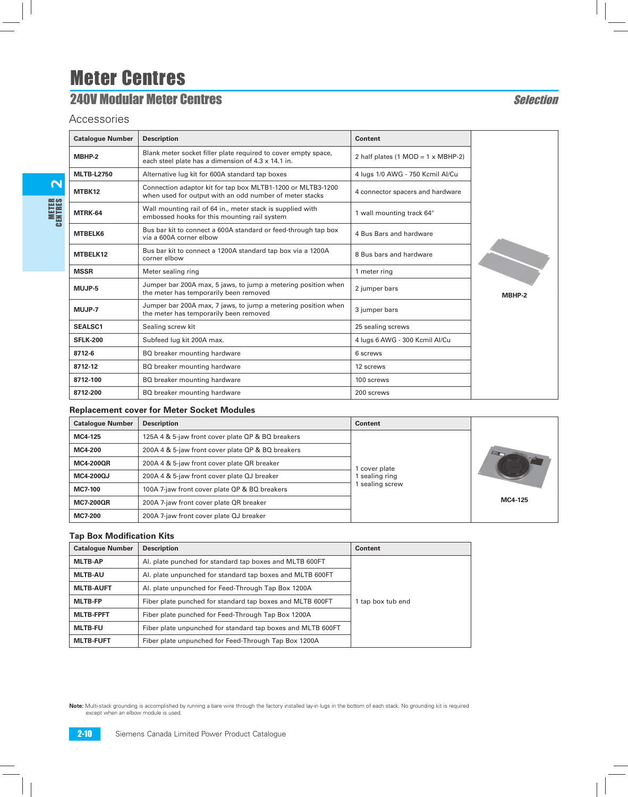# **240V Modular Meter Centres Selection**

Accessories

| <b>Catalogue Number</b> | <b>Description</b>                                                                                                     | <b>Content</b>                                           |        |
|-------------------------|------------------------------------------------------------------------------------------------------------------------|----------------------------------------------------------|--------|
| MBHP-2                  | Blank meter socket filler plate required to cover empty space,<br>each steel plate has a dimension of 4.3 x 14.1 in.   | 2 half plates $(1 \text{ MOD} = 1 \times \text{MBHP-2})$ |        |
| <b>MLTB-L2750</b>       | Alternative lug kit for 600A standard tap boxes                                                                        | 4 lugs 1/0 AWG - 750 Kcmil Al/Cu                         |        |
| MTBK12                  | Connection adaptor kit for tap box MLTB1-1200 or MLTB3-1200<br>when used for output with an odd number of meter stacks | 4 connector spacers and hardware                         |        |
| MTRK-64                 | Wall mounting rail of 64 in., meter stack is supplied with<br>embossed hooks for this mounting rail system             | 1 wall mounting track 64"                                |        |
| <b>MTBELK6</b>          | Bus bar kit to connect a 600A standard or feed-through tap box<br>via a 600A corner elbow                              | 4 Bus Bars and hardware                                  |        |
| MTBELK12                | Bus bar kit to connect a 1200A standard tap box via a 1200A<br>corner elbow                                            | 8 Bus bars and hardware                                  |        |
| <b>MSSR</b>             | Meter sealing ring                                                                                                     | 1 meter ring                                             |        |
| MUJP-5                  | Jumper bar 200A max, 5 jaws, to jump a metering position when<br>the meter has temporarily been removed                | 2 jumper bars                                            | MBHP-2 |
| MUJP-7                  | Jumper bar 200A max, 7 jaws, to jump a metering position when<br>the meter has temporarily been removed                | 3 jumper bars                                            |        |
| <b>SEALSC1</b>          | Sealing screw kit                                                                                                      | 25 sealing screws                                        |        |
| <b>SFLK-200</b>         | Subfeed lug kit 200A max.                                                                                              | 4 lugs 6 AWG - 300 Kcmil Al/Cu                           |        |
| 8712-6                  | BQ breaker mounting hardware                                                                                           | 6 screws                                                 |        |
| 8712-12                 | BQ breaker mounting hardware                                                                                           | 12 screws                                                |        |
| 8712-100                | BQ breaker mounting hardware                                                                                           | 100 screws                                               |        |
| 8712-200                | BQ breaker mounting hardware                                                                                           | 200 screws                                               |        |

#### **Replacement cover for Meter Socket Modules**

| <b>Catalogue Number</b> | <b>Description</b>                                | <b>Content</b> |         |
|-------------------------|---------------------------------------------------|----------------|---------|
| MC4-125                 | 125A 4 & 5-jaw front cover plate QP & BQ breakers |                |         |
| MC4-200                 | 200A 4 & 5-jaw front cover plate QP & BQ breakers | cover plate    |         |
| <b>MC4-200QR</b>        | 200A 4 & 5-jaw front cover plate QR breaker       |                |         |
| MC4-200QJ               | 200A 4 & 5-jaw front cover plate QJ breaker       | sealing ring   |         |
| <b>MC7-100</b>          | 100A 7-jaw front cover plate QP & BQ breakers     | sealing screw  |         |
| <b>MC7-200QR</b>        | 200A 7-jaw front cover plate QR breaker           |                | MC4-125 |
| <b>MC7-200</b>          | 200A 7-jaw front cover plate QJ breaker           |                |         |

#### **Tap Box Modification Kits**

| <b>Catalogue Number</b> | <b>Description</b>                                          | Content           |
|-------------------------|-------------------------------------------------------------|-------------------|
| <b>MLTB-AP</b>          | Al. plate punched for standard tap boxes and MLTB 600FT     |                   |
| <b>MLTB-AU</b>          | Al. plate unpunched for standard tap boxes and MLTB 600FT   |                   |
| <b>MLTB-AUFT</b>        | Al. plate unpunched for Feed-Through Tap Box 1200A          |                   |
| <b>MLTB-FP</b>          | Fiber plate punched for standard tap boxes and MLTB 600FT   | 1 tap box tub end |
| <b>MLTB-FPFT</b>        | Fiber plate punched for Feed-Through Tap Box 1200A          |                   |
| <b>MLTB-FU</b>          | Fiber plate unpunched for standard tap boxes and MLTB 600FT |                   |
| <b>MLTB-FUFT</b>        | Fiber plate unpunched for Feed-Through Tap Box 1200A        |                   |

**Note:** Multi-stack grounding is accomplished by running a bare wire through the factory installed lay-in lugs in the bottom of each stack. No grounding kit is required except when an elbow module is used.

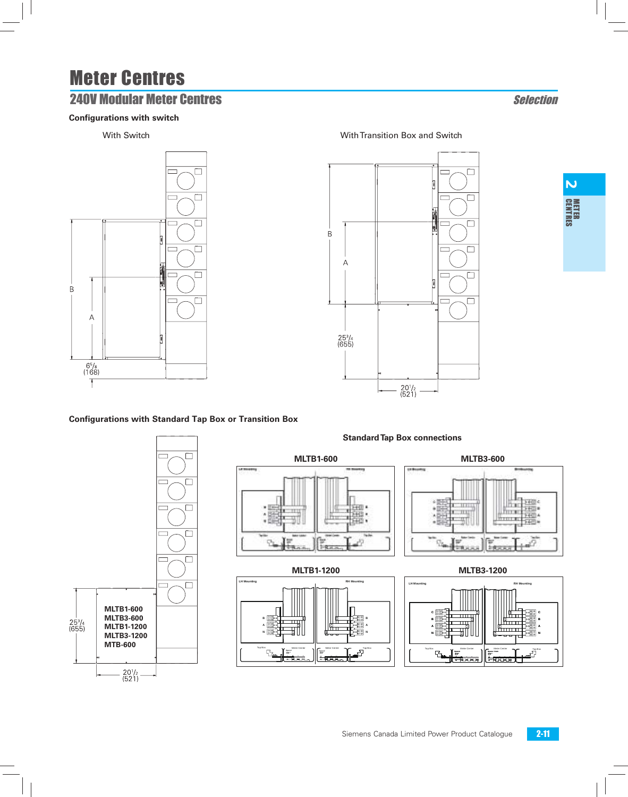# **240V Modular Meter Centres Selection**

### **Configurations with switch**



### With Switch With Transition Box and Switch

 $\Box$  $\overline{\square}$  $\overline{\square}$  $\, {\sf B}$  $\Box$ Α  $\Box$  $\overline{\square}$ **MLTB1-600 MLTB3-600**  $25^{3}/_{4}$ <br>(655) **MLTB1-1200 MLTB3-1200 MTB-600**  $\frac{20^{1/2}}{(521)}$ 

### **Configurations with Standard Tap Box or Transition Box**



**MLTB1-600 MLTB3-600**  $5400c$ T. m litor  $+11$ 田 **TITLE FILLE** F403 A TITLE  $-4294$ 면 ٩, 上向文字 **MLTB1-1200 MLTB3-1200 Tap Box / Boite de raccordement Tap Box / Boite de raccordement LH Mounting RH Mounting LH Mounting RH Mounting C C**  $\overline{\mathbf{u}}$ **B B B** דחו **A A A** mm **N N N** Tap Box **Meter Center** Meter Center Tap Box Tap Box Meter Center 1 Meter Center Tap Box **Spacer Spacer Spacer Spacer / Cale**

**3/4"**

**3/4"**

### **Standard Tap Box connections**

**3/4"**

**3/4"**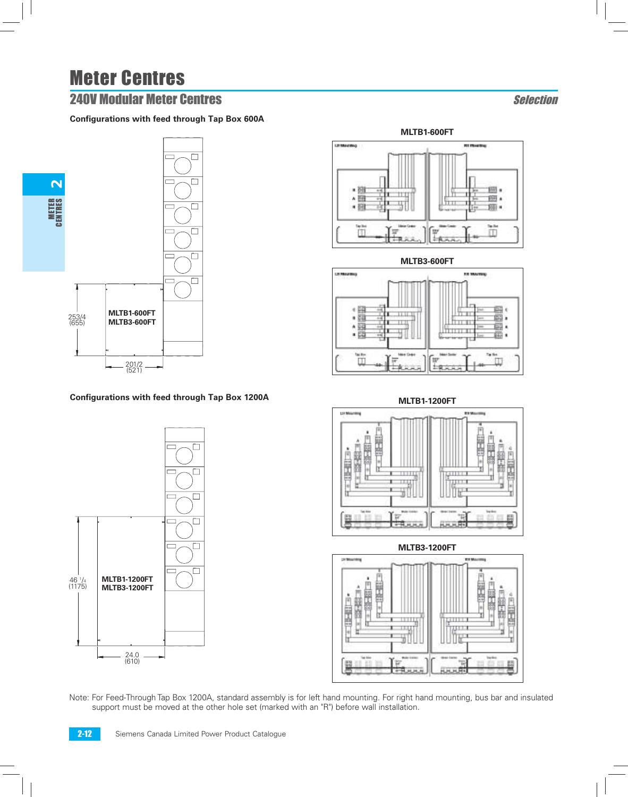## **240V Modular Meter Centres Selection**

### **Configurations with feed through Tap Box 600A**



### **Configurations with feed through Tap Box 1200A**









**MLTB1-1200FT**



**MLTB3-1200FT**



Note: For Feed-Through Tap Box 1200A, standard assembly is for left hand mounting. For right hand mounting, bus bar and insulated support must be moved at the other hole set (marked with an "R") before wall installation.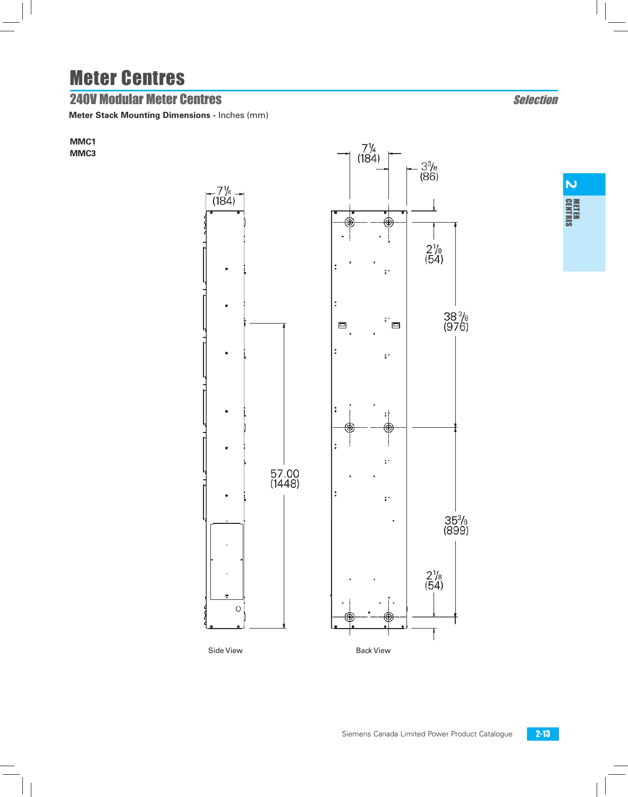## **240V Modular Meter Centres Selection**

**Meter Stack Mounting Dimensions -** Inches (mm)

**MMC1 MMC3**



 $\overline{N}$ **METER**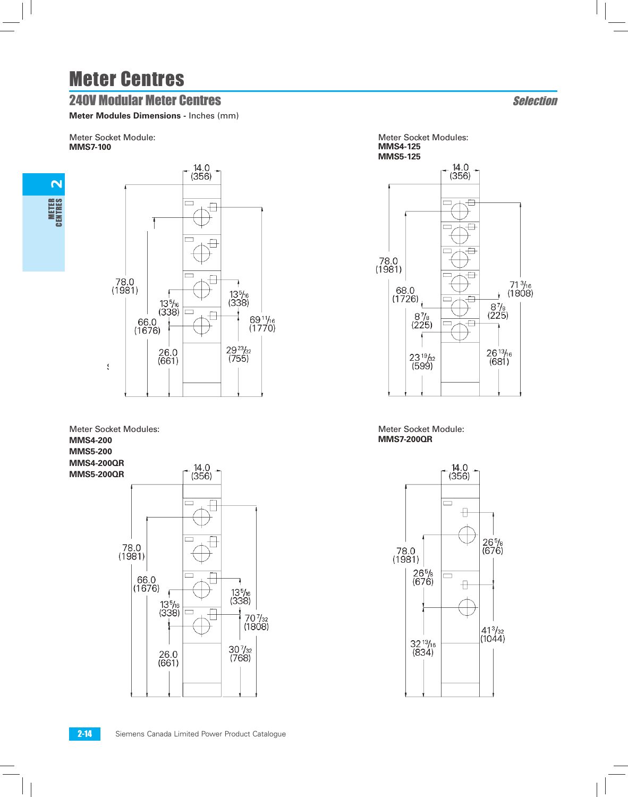## **240V Modular Meter Centres Selection**

**Meter Modules Dimensions -** Inches (mm)

Meter Socket Module: **MMS7-100**

2



Meter Socket Modules: **MMS4-200 MMS5-200 MMS4-200QR MMS5-200QR** 78.0<br>(1981)  $|66.0$ <br>(1676)

 $13\frac{5}{16}$  $(338)$ 13<sup>5</sup>/<sub>16</sub><br>(338)  $\Box$ 70 <sup>7</sup>/<sub>32</sub><br>(1808)  $\frac{30\frac{7}{32}}{(768)}$  $26.0$ <br>(661)

 $\frac{14.0}{(356)}$ 







Meter Socket Module: **MMS7-200QR**

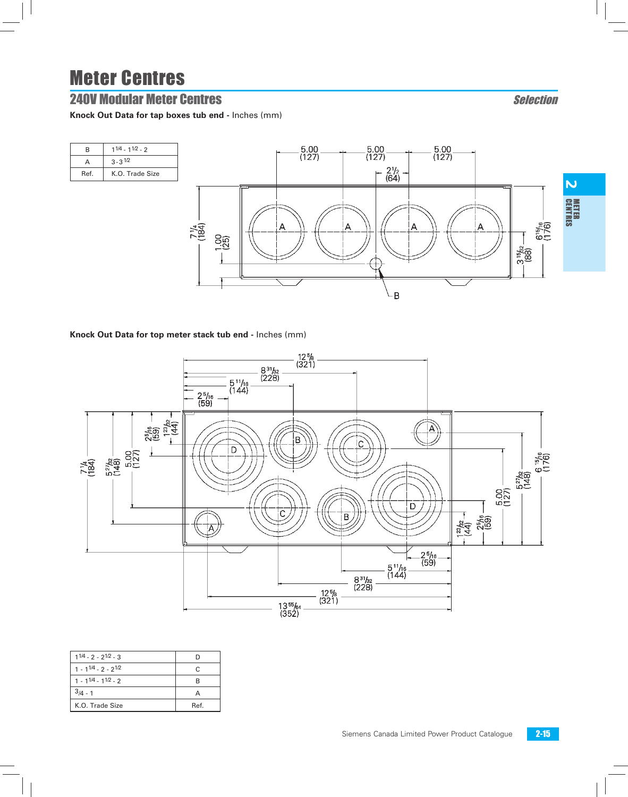## **240V Modular Meter Centres Selection**

**Knock Out Data for tap boxes tub end -** Inches (mm)



B

#### **Knock Out Data for top meter stack tub end -** Inches (mm)



| $11/4 - 2 - 21/2 - 3$       |      |
|-----------------------------|------|
| $1 - 1^{1/4} - 2 - 2^{1/2}$ |      |
| $1 - 11/4 - 11/2 - 2$       |      |
| $3/4 - 1$                   |      |
| K.O. Trade Size             | Ref. |